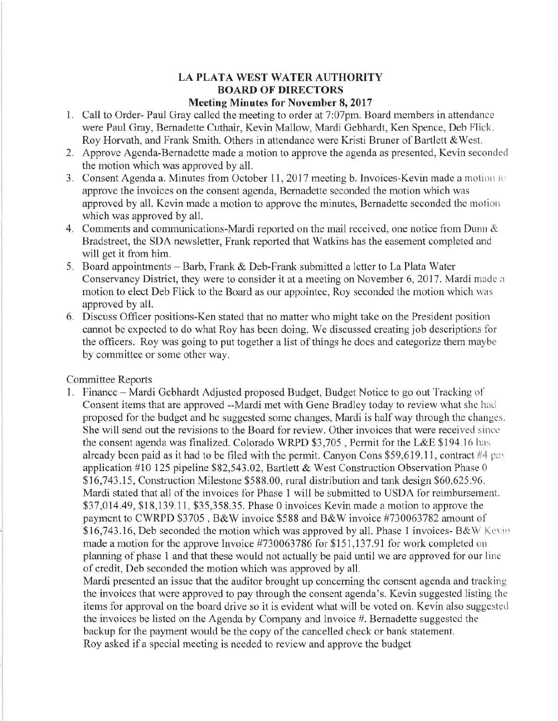## **LA PLATA WEST WATER AUTHORITY BOARD OF DIRECTORS**

## **Meeting Minutes for November 8, 2017**

- 1. Call to Order- Paul Gray called the meeting to order at 7:07pm. Board members in attendance were Paul Gray, Bernadette Cuthair, Kevin Mallow, Mardi Gebhardt, Ken Spence, Deb Flick. Roy Horvath, and Frank Smith. Others in attendance were Kristi Bruner of Bartlett &West.
- 2. Approve Agenda-Bernadette made a motion to approve the agenda as presented, Kevin seconded the motion which was approved by all.
- 3. Consent Agenda a. Minutes from October 11, 2017 meeting b. Invoices-Kevin made a motion to approve the invoices on the consent agenda, Bernadette seconded the motion which was approved by all. Kevin made a motion to approve the minutes, Bernadette seconded the motion which was approved by all.
- 4. Comments and communications-Mardi reported on the mail received, one notice from Dunn & Bradstreet, the SDA newsletter, Frank reported that Watkins has the easement completed and will get it from him.
- 5. Board appointments Barb, Frank & Deb-Frank submitted a letter to La Plata Water Conservancy District, they were to consider it at a meeting on November 6, 2017. Mardi made a motion to elect Deb Flick to the Board as our appointee, Roy seconded the motion which was approved by all.
- 6. Discuss Officer positions-Ken stated that no matter who might take on the President position cannot be expected to do what Roy has been doing. We discussed creating job descriptions for the officers. Roy was going to put together a list of things he does and categorize them maybe by committee or some other way.

## Committee Reports

1. Finance - Mardi Gebhardt Adjusted proposed Budget, Budget Notice to go out Tracking of Consent items that are approved —Mardi met with Gene Bradley today to review what she had proposed for the budget and he suggested some changes, Mardi is halfway through the changes. She will send out the revisions to the Board for review. Other invoices that were received since the consent agenda was finalized. Colorado WRPD \$3,705 , Permit for the L&E \$194.16 has already been paid as it had to be filed with the permit. Canyon Cons \$59,619.11, contract #4 pay application #10 125 pipeline \$82,543.02, Bartlett & West Construction Observation Phase 0 \$16,743.15, Construction Milestone \$588.00, rural distribution and tank design \$60,625.96. Mardi stated that all of the invoices for Phase 1 will be submitted to USDA for reimbursement. \$37,014.49, \$18,139.11, \$35,358.35. Phase 0 invoices Kevin made a motion to approve the payment to CWRPD \$3705 , B&W invoice \$588 and B&W invoice #730063782 amount of  $$16,743.16$ , Deb seconded the motion which was approved by all. Phase 1 invoices- B&W Keym made a motion for the approve Invoice #730063786 for \$151,137.91 for work completed on planning of phase 1 and that these would not actually be paid until we are approved for our line of credit, Deb seconded the motion which was approved by all.

Mardi presented an issue that the auditor brought up concerning the consent agenda and tracking the invoices that were approved to pay through the consent agenda's. Kevin suggested listing the items for approval on the board drive so it is evident what will be voted on. Kevin also suggested the invoices be listed on the Agenda by Company and Invoice #. Bernadette suggested the backup for the payment would be the copy of the cancelled check or bank statement. Roy asked if a special meeting is needed to review and approve the budget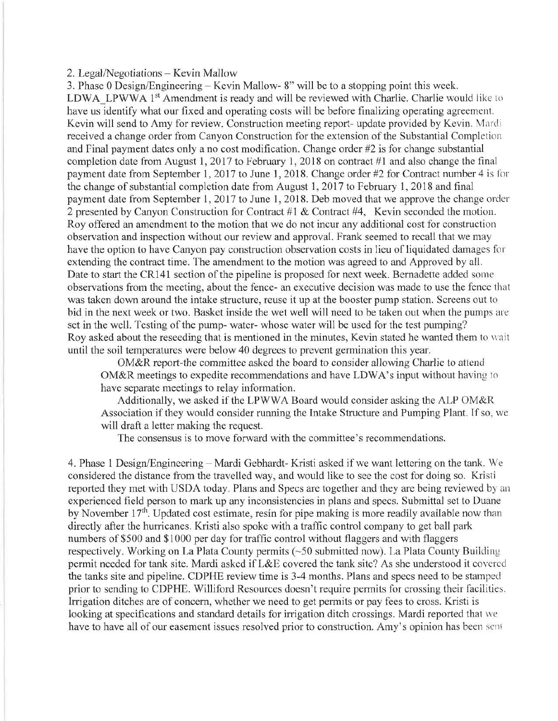## 2. Legal/Negotiations - Kevin Mallow

3. Phase 0 Design/Engineering - Kevin Mallow- 8" will be to a stopping point this week. LDWA\_LPWWA 1<sup>st</sup> Amendment is ready and will be reviewed with Charlie. Charlie would like to have us identify what our fixed and operating costs will be before finalizing operating agreement. Kevin will send to Amy for review. Construction meeting report- update provided by Kevin. Mardi received a change order from Canyon Construction for the extension of the Substantial Completion and Final payment dates only a no cost modification. Change order #2 is for change substantial completion date from August 1, 2017 to February 1, 2018 on contract #1 and also change the final payment date from September 1, 2017 to June 1, 2018. Change order #2 for Contract number 4 is for the change of substantial completion date from August 1, 2017 to February 1, 2018 and final payment date from September 1, 2017 to June 1, 2018. Deb moved that we approve the change order 2 presented by Canyon Construction for Contract #1 & Contract #4, Kevin seconded the motion. Roy offered an amendment to the motion that we do not incur any additional cost for construction observation and inspection without our review and approval. Frank seemed to recall that we may have the option to have Canyon pay construction observation costs in lieu of liquidated damages for extending the contract time. The amendment to the motion was agreed to and Approved by all. Date to start the CR141 section of the pipeline is proposed for next week. Bernadette added some observations from the meeting, about the fence- an executive decision was made to use the fence that was taken down around the intake structure, reuse it up at the booster pump station. Screens out to bid in the next week or two. Basket inside the wet well will need to be taken out when the pumps are set in the well. Testing of the pump- water- whose water will be used for the test pumping? Roy asked about the reseeding that is mentioned in the minutes, Kevin stated he wanted them to wait until the soil temperatures were below 40 degrees to prevent germination this year.

OM&R report-the committee asked the board to consider allowing Charlie to attend OM&R meetings to expedite recommendations and have LDWA's input without having to have separate meetings to relay information.

Additionally, we asked if the LPWWA Board would consider asking the ALP OM&R Association if they would consider running the Intake Structure and Pumping Plant. If so, we will draft a letter making the request.

The consensus is to move forward with the committee's recommendations.

4. Phase 1 Design/Engineering - Mardi Gebhardt- Kristi asked if we want lettering on the tank. We considered the distance from the travelled way, and would like to see the cost for doing so. Kristi reported they met with USDA today. Plans and Specs are together and they are being reviewed by an experienced field person to mark up any inconsistencies in plans and specs. Submittal set to Duane by November  $17<sup>th</sup>$ . Updated cost estimate, resin for pipe making is more readily available now than directly after the hurricanes. Kristi also spoke with a traffic control company to get ball park numbers of \$500 and \$1000 per day for traffic control without flaggers and with flaggers respectively. Working on La Plata County permits (~50 submitted now). La Plata County Building permit needed for tank site. Mardi asked if L&E covered the tank site? As she understood it covered the tanks site and pipeline. CDPHE review time is 3-4 months. Plans and specs need to be stamped prior to sending to CDPHE. Williford Resources doesn't require permits for crossing their facilities. Irrigation ditches are of concern, whether we need to get permits or pay fees to cross. Kristi is looking at specifications and standard details for irrigation ditch crossings. Mardi reported that we have to have all of our easement issues resolved prior to construction. Amy's opinion has been sent